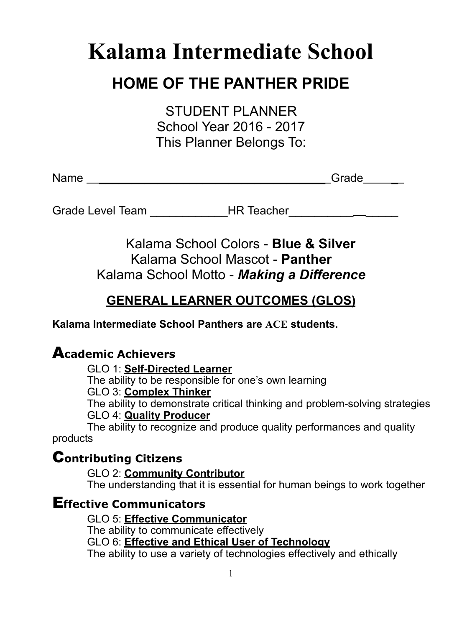# **Kalama Intermediate School**

# **HOME OF THE PANTHER PRIDE**

STUDENT PLANNER School Year 2016 - 2017 This Planner Belongs To:

Name **Name Name Name Name Name C name C name C name C n** 

Grade Level Team **Branklacher** HR Teacher **Lexel 2** 

Kalama School Colors - **Blue & Silver** Kalama School Mascot - **Panther** Kalama School Motto - *Making a Difference*

# **GENERAL LEARNER OUTCOMES (GLOS)**

**Kalama Intermediate School Panthers are ACE students.**

# A**cademic Achievers**

GLO 1: **Self-Directed Learner**

 The ability to be responsible for one's own learning GLO 3: **Complex Thinker** The ability to demonstrate critical thinking and problem-solving strategies

GLO 4: **Quality Producer**

 The ability to recognize and produce quality performances and quality products

# C**ontributing Citizens**

 GLO 2: **Community Contributor** The understanding that it is essential for human beings to work together

# E**ffective Communicators**

 GLO 5: **Effective Communicator** The ability to communicate effectively GLO 6: **Effective and Ethical User of Technology** The ability to use a variety of technologies effectively and ethically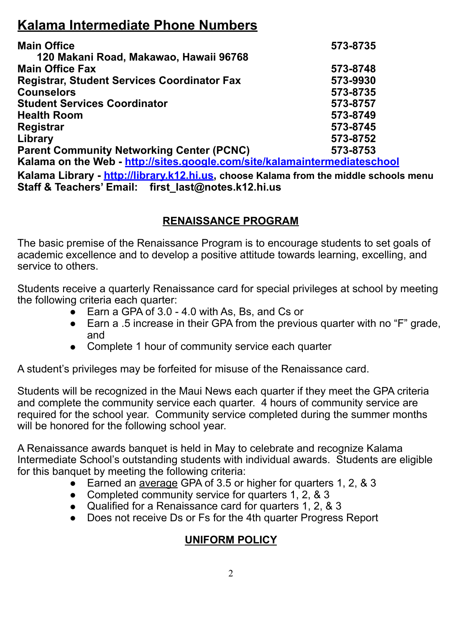# **Kalama Intermediate Phone Numbers**

| <b>Main Office</b>                                                                    | 573-8735 |
|---------------------------------------------------------------------------------------|----------|
| 120 Makani Road, Makawao, Hawaii 96768                                                |          |
| <b>Main Office Fax</b>                                                                | 573-8748 |
| <b>Registrar, Student Services Coordinator Fax</b>                                    | 573-9930 |
| <b>Counselors</b>                                                                     | 573-8735 |
| <b>Student Services Coordinator</b>                                                   | 573-8757 |
| <b>Health Room</b>                                                                    | 573-8749 |
| Registrar                                                                             | 573-8745 |
| Library                                                                               | 573-8752 |
| <b>Parent Community Networking Center (PCNC)</b>                                      | 573-8753 |
| Kalama on the Web - http://sites.google.com/site/kalamaintermediateschool             |          |
| Kalama Library - http://library.k12.hi.us, choose Kalama from the middle schools menu |          |

**Staff & Teachers' Email: first\_last@notes.k12.hi.us**

#### **RENAISSANCE PROGRAM**

The basic premise of the Renaissance Program is to encourage students to set goals of academic excellence and to develop a positive attitude towards learning, excelling, and service to others.

Students receive a quarterly Renaissance card for special privileges at school by meeting the following criteria each quarter:

- $\sum$  Earn a GPA of 3.0 4.0 with As, Bs, and Cs or
- Earn a .5 increase in their GPA from the previous quarter with no "F" grade, and
- Complete 1 hour of community service each quarter

A student's privileges may be forfeited for misuse of the Renaissance card.

Students will be recognized in the Maui News each quarter if they meet the GPA criteria and complete the community service each quarter. 4 hours of community service are required for the school year. Community service completed during the summer months will be honored for the following school year.

A Renaissance awards banquet is held in May to celebrate and recognize Kalama Intermediate School's outstanding students with individual awards. Students are eligible for this banquet by meeting the following criteria:

- Earned an average GPA of 3.5 or higher for quarters 1, 2, & 3
- Completed community service for quarters 1, 2, & 3
- Qualified for a Renaissance card for quarters 1, 2, & 3
- Does not receive Ds or Fs for the 4th quarter Progress Report

# **UNIFORM POLICY**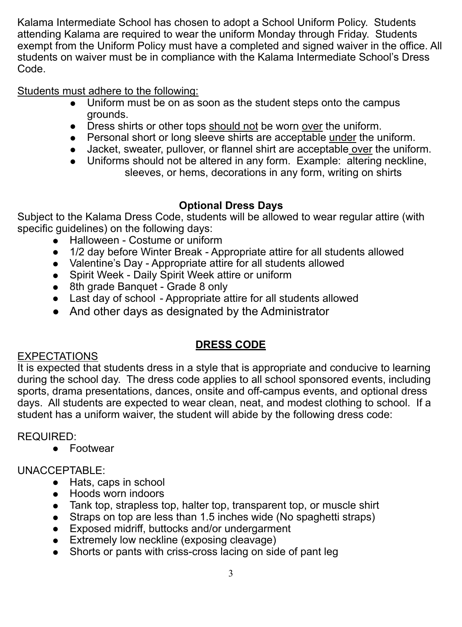Kalama Intermediate School has chosen to adopt a School Uniform Policy. Students attending Kalama are required to wear the uniform Monday through Friday. Students exempt from the Uniform Policy must have a completed and signed waiver in the office. All students on waiver must be in compliance with the Kalama Intermediate School's Dress Code.

Students must adhere to the following:

- Uniform must be on as soon as the student steps onto the campus grounds.
- Dress shirts or other tops should not be worn over the uniform.
- Personal short or long sleeve shirts are acceptable under the uniform.
- Jacket, sweater, pullover, or flannel shirt are acceptable over the uniform.
- Uniforms should not be altered in any form. Example: altering neckline, sleeves, or hems, decorations in any form, writing on shirts

# **Optional Dress Days**

Subject to the Kalama Dress Code, students will be allowed to wear regular attire (with specific guidelines) on the following days:

- Halloween Costume or uniform
- 1/2 day before Winter Break Appropriate attire for all students allowed
- Valentine's Day Appropriate attire for all students allowed
- Spirit Week Daily Spirit Week attire or uniform
- 8th grade Banquet Grade 8 only
- Last day of school Appropriate attire for all students allowed
- And other days as designated by the Administrator

# **DRESS CODE**

### **EXPECTATIONS**

It is expected that students dress in a style that is appropriate and conducive to learning during the school day. The dress code applies to all school sponsored events, including sports, drama presentations, dances, onsite and off-campus events, and optional dress days. All students are expected to wear clean, neat, and modest clothing to school. If a student has a uniform waiver, the student will abide by the following dress code:

REQUIRED:

● Footwear

# UNACCEPTABLE:

- Hats, caps in school
- Hoods worn indoors
- Tank top, strapless top, halter top, transparent top, or muscle shirt
- Straps on top are less than 1.5 inches wide (No spaghetti straps)
- Exposed midriff, buttocks and/or undergarment
- Extremely low neckline (exposing cleavage)
- Shorts or pants with criss-cross lacing on side of pant leg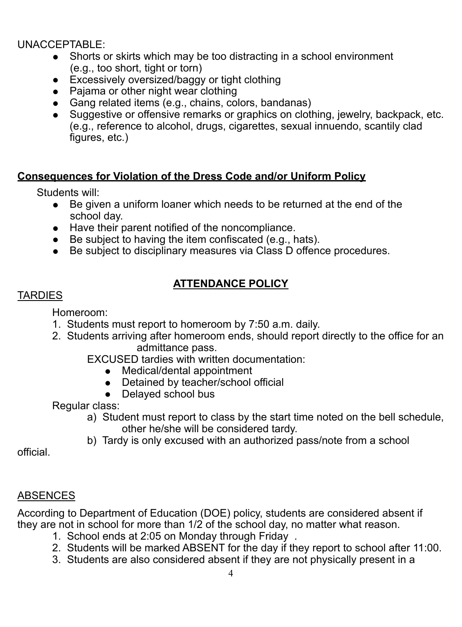#### UNACCEPTABLE:

- Shorts or skirts which may be too distracting in a school environment (e.g., too short, tight or torn)
- Excessively oversized/baggy or tight clothing
- Pajama or other night wear clothing
- Gang related items (e.g., chains, colors, bandanas)
- Suggestive or offensive remarks or graphics on clothing, jewelry, backpack, etc. (e.g., reference to alcohol, drugs, cigarettes, sexual innuendo, scantily clad figures, etc.)

#### **Consequences for Violation of the Dress Code and/or Uniform Policy**

Students will:

- Be given a uniform loaner which needs to be returned at the end of the school day.
- Have their parent notified of the noncompliance.
- Be subject to having the item confiscated (e.g., hats).
- Be subject to disciplinary measures via Class D offence procedures.

# **ATTENDANCE POLICY**

### **TARDIES**

Homeroom:

- 1. Students must report to homeroom by 7:50 a.m. daily.
- 2. Students arriving after homeroom ends, should report directly to the office for an admittance pass.

EXCUSED tardies with written documentation:

- Medical/dental appointment
- Detained by teacher/school official
- Delayed school bus

Regular class:

- a) Student must report to class by the start time noted on the bell schedule, other he/she will be considered tardy.
- b) Tardy is only excused with an authorized pass/note from a school

official.

### ABSENCES

According to Department of Education (DOE) policy, students are considered absent if they are not in school for more than 1/2 of the school day, no matter what reason.

- 1. School ends at 2:05 on Monday through Friday .
- 2. Students will be marked ABSENT for the day if they report to school after 11:00.
- 3. Students are also considered absent if they are not physically present in a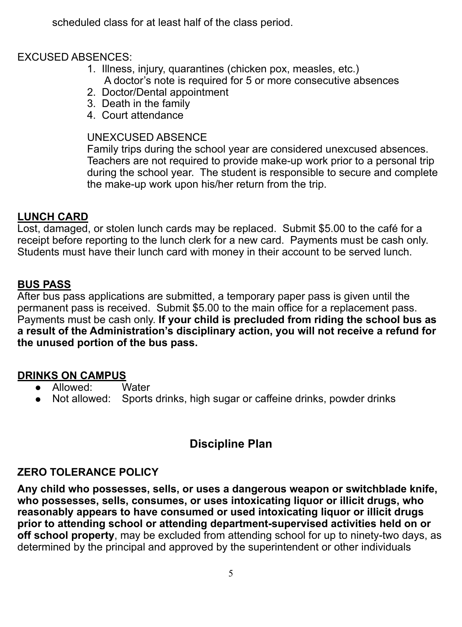scheduled class for at least half of the class period.

#### EXCUSED ABSENCES:

- 1. Illness, injury, quarantines (chicken pox, measles, etc.) A doctor's note is required for 5 or more consecutive absences
- 2. Doctor/Dental appointment
- 3. Death in the family
- 4. Court attendance

#### UNEXCUSED ABSENCE

Family trips during the school year are considered unexcused absences. Teachers are not required to provide make-up work prior to a personal trip during the school year. The student is responsible to secure and complete the make-up work upon his/her return from the trip.

#### **LUNCH CARD**

Lost, damaged, or stolen lunch cards may be replaced. Submit \$5.00 to the café for a receipt before reporting to the lunch clerk for a new card. Payments must be cash only. Students must have their lunch card with money in their account to be served lunch.

#### **BUS PASS**

After bus pass applications are submitted, a temporary paper pass is given until the permanent pass is received. Submit \$5.00 to the main office for a replacement pass. Payments must be cash only. **If your child is precluded from riding the school bus as a result of the Administration's disciplinary action, you will not receive a refund for the unused portion of the bus pass.**

#### **DRINKS ON CAMPUS**

- Allowed: Water
- Not allowed: Sports drinks, high sugar or caffeine drinks, powder drinks

# **Discipline Plan**

#### **ZERO TOLERANCE POLICY**

**Any child who possesses, sells, or uses a dangerous weapon or switchblade knife, who possesses, sells, consumes, or uses intoxicating liquor or illicit drugs, who reasonably appears to have consumed or used intoxicating liquor or illicit drugs prior to attending school or attending department-supervised activities held on or off school property**, may be excluded from attending school for up to ninety-two days, as determined by the principal and approved by the superintendent or other individuals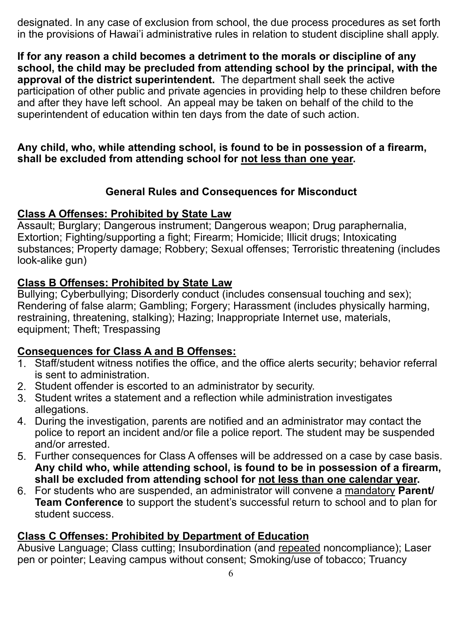designated. In any case of exclusion from school, the due process procedures as set forth in the provisions of Hawai'i administrative rules in relation to student discipline shall apply.

**If for any reason a child becomes a detriment to the morals or discipline of any school, the child may be precluded from attending school by the principal, with the approval of the district superintendent.** The department shall seek the active participation of other public and private agencies in providing help to these children before and after they have left school. An appeal may be taken on behalf of the child to the superintendent of education within ten days from the date of such action.

#### **Any child, who, while attending school, is found to be in possession of a firearm, shall be excluded from attending school for not less than one year.**

#### **General Rules and Consequences for Misconduct**

#### **Class A Offenses: Prohibited by State Law**

Assault; Burglary; Dangerous instrument; Dangerous weapon; Drug paraphernalia, Extortion; Fighting/supporting a fight; Firearm; Homicide; Illicit drugs; Intoxicating substances; Property damage; Robbery; Sexual offenses; Terroristic threatening (includes look-alike gun)

#### **Class B Offenses: Prohibited by State Law**

Bullying; Cyberbullying; Disorderly conduct (includes consensual touching and sex); Rendering of false alarm; Gambling; Forgery; Harassment (includes physically harming, restraining, threatening, stalking); Hazing; Inappropriate Internet use, materials, equipment; Theft; Trespassing

#### **Consequences for Class A and B Offenses:**

- 1. Staff/student witness notifies the office, and the office alerts security; behavior referral is sent to administration.
- 2. Student offender is escorted to an administrator by security.
- 3. Student writes a statement and a reflection while administration investigates allegations.
- 4. During the investigation, parents are notified and an administrator may contact the police to report an incident and/or file a police report. The student may be suspended and/or arrested.
- 5. Further consequences for Class A offenses will be addressed on a case by case basis. **Any child who, while attending school, is found to be in possession of a firearm, shall be excluded from attending school for not less than one calendar year.**
- 6. For students who are suspended, an administrator will convene a mandatory **Parent/ Team Conference** to support the student's successful return to school and to plan for student success.

#### **Class C Offenses: Prohibited by Department of Education**

Abusive Language; Class cutting; Insubordination (and repeated noncompliance); Laser pen or pointer; Leaving campus without consent; Smoking/use of tobacco; Truancy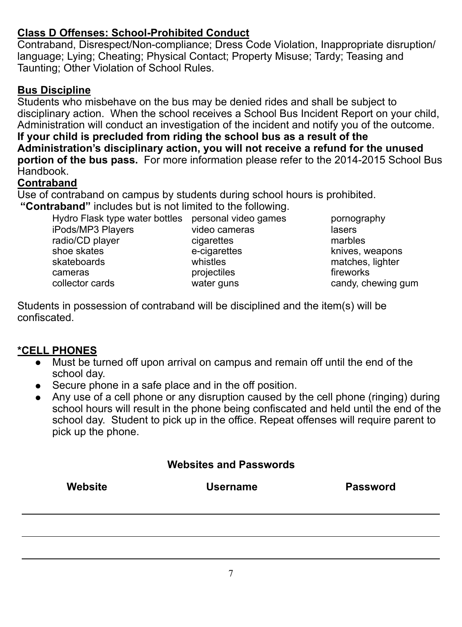#### **Class D Offenses: School-Prohibited Conduct**

Contraband, Disrespect/Non-compliance; Dress Code Violation, Inappropriate disruption/ language; Lying; Cheating; Physical Contact; Property Misuse; Tardy; Teasing and Taunting; Other Violation of School Rules.

#### **Bus Discipline**

Students who misbehave on the bus may be denied rides and shall be subject to disciplinary action. When the school receives a School Bus Incident Report on your child, Administration will conduct an investigation of the incident and notify you of the outcome. **If your child is precluded from riding the school bus as a result of the Administration's disciplinary action, you will not receive a refund for the unused portion of the bus pass.** For more information please refer to the 2014-2015 School Bus **Handbook** 

#### **Contraband**

Use of contraband on campus by students during school hours is prohibited.  **"Contraband"** includes but is not limited to the following.

Hydro Flask type water bottles personal video games pornography iPods/MP3 Players video cameras lasers radio/CD player cigarettes marbles shoe skates e-cigarettes e-cigarettes knives, weapons<br>skateboards whistles whistles had matches lighter cameras **projectiles projectiles** *cameras* fireworks collector cards **collector** candy, chewing gum

matches, lighter

Students in possession of contraband will be disciplined and the item(s) will be confiscated.

#### **\*CELL PHONES**

 $\overline{a}$ 

- Must be turned off upon arrival on campus and remain off until the end of the school day.
- Secure phone in a safe place and in the off position.
- Any use of a cell phone or any disruption caused by the cell phone (ringing) during school hours will result in the phone being confiscated and held until the end of the school day. Student to pick up in the office. Repeat offenses will require parent to pick up the phone.

#### **Websites and Passwords**

| Website | <b>Username</b> | <b>Password</b> |
|---------|-----------------|-----------------|
|         |                 |                 |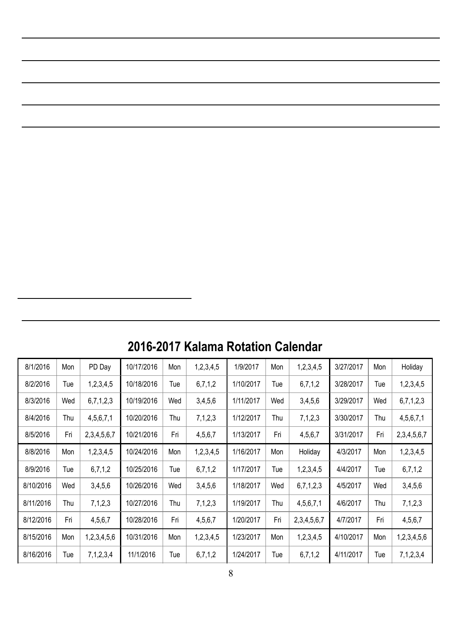| 8/1/2016  | Mon | PD Day      | 10/17/2016 | Mon | 1,2,3,4,5 | 1/9/2017  | Mon | 1,2,3,4,5        | 3/27/2017 | Mon | Holiday     |
|-----------|-----|-------------|------------|-----|-----------|-----------|-----|------------------|-----------|-----|-------------|
| 8/2/2016  | Tue | 1,2,3,4,5   | 10/18/2016 | Tue | 6,7,1,2   | 1/10/2017 | Tue | 6,7,1,2          | 3/28/2017 | Tue | 1,2,3,4,5   |
| 8/3/2016  | Wed | 6,7,1,2,3   | 10/19/2016 | Wed | 3,4,5,6   | 1/11/2017 | Wed | 3,4,5,6          | 3/29/2017 | Wed | 6,7,1,2,3   |
| 8/4/2016  | Thu | 4,5,6,7,1   | 10/20/2016 | Thu | 7,1,2,3   | 1/12/2017 | Thu | 7,1,2,3          | 3/30/2017 | Thu | 4,5,6,7,1   |
| 8/5/2016  | Fri | 2,3,4,5,6,7 | 10/21/2016 | Fri | 4,5,6,7   | 1/13/2017 | Fri | 4,5,6,7          | 3/31/2017 | Fri | 2,3,4,5,6,7 |
| 8/8/2016  | Mon | 1,2,3,4,5   | 10/24/2016 | Mon | 1,2,3,4,5 | 1/16/2017 | Mon | Holiday          | 4/3/2017  | Mon | 1,2,3,4,5   |
| 8/9/2016  | Tue | 6,7,1,2     | 10/25/2016 | Tue | 6,7,1,2   | 1/17/2017 | Tue | 1,2,3,4,5        | 4/4/2017  | Tue | 6,7,1,2     |
| 8/10/2016 | Wed | 3,4,5,6     | 10/26/2016 | Wed | 3.4.5.6   | 1/18/2017 | Wed | 6,7,1,2,3        | 4/5/2017  | Wed | 3,4,5,6     |
| 8/11/2016 | Thu | 7,1,2,3     | 10/27/2016 | Thu | 7,1,2,3   | 1/19/2017 | Thu | 4,5,6,7,1        | 4/6/2017  | Thu | 7,1,2,3     |
| 8/12/2016 | Fri | 4,5,6,7     | 10/28/2016 | Fri | 4,5,6,7   | 1/20/2017 | Fri | 2, 3, 4, 5, 6, 7 | 4/7/2017  | Fri | 4,5,6,7     |
| 8/15/2016 | Mon | 1,2,3,4,5,6 | 10/31/2016 | Mon | 1,2,3,4,5 | 1/23/2017 | Mon | 1,2,3,4,5        | 4/10/2017 | Mon | 1,2,3,4,5,6 |
| 8/16/2016 | Tue | 7,1,2,3,4   | 11/1/2016  | Tue | 6,7,1,2   | 1/24/2017 | Tue | 6,7,1,2          | 4/11/2017 | Tue | 7,1,2,3,4   |

# **2016-2017 Kalama Rotation Calendar**

 $\overline{a}$ 

 $\overline{a}$ 

 $\overline{a}$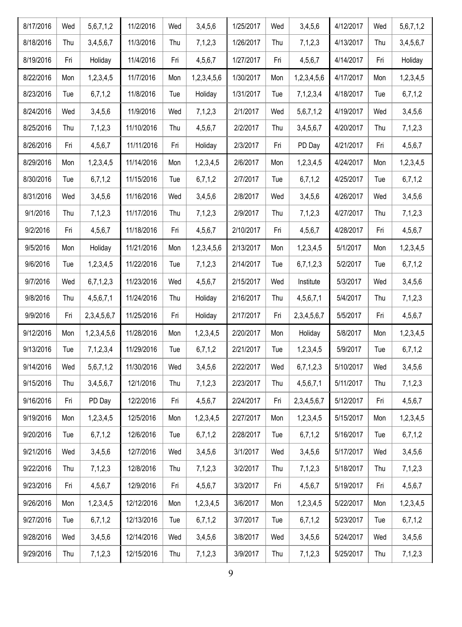| 8/17/2016 | Wed | 5,6,7,1,2   | 11/2/2016  | Wed | 3,4,5,6     | 1/25/2017 | Wed | 3,4,5,6          | 4/12/2017 | Wed | 5,6,7,1,2 |
|-----------|-----|-------------|------------|-----|-------------|-----------|-----|------------------|-----------|-----|-----------|
| 8/18/2016 | Thu | 3,4,5,6,7   | 11/3/2016  | Thu | 7,1,2,3     | 1/26/2017 | Thu | 7,1,2,3          | 4/13/2017 | Thu | 3,4,5,6,7 |
| 8/19/2016 | Fri | Holiday     | 11/4/2016  | Fri | 4,5,6,7     | 1/27/2017 | Fri | 4,5,6,7          | 4/14/2017 | Fri | Holiday   |
| 8/22/2016 | Mon | 1,2,3,4,5   | 11/7/2016  | Mon | 1,2,3,4,5,6 | 1/30/2017 | Mon | 1,2,3,4,5,6      | 4/17/2017 | Mon | 1,2,3,4,5 |
| 8/23/2016 | Tue | 6,7,1,2     | 11/8/2016  | Tue | Holiday     | 1/31/2017 | Tue | 7, 1, 2, 3, 4    | 4/18/2017 | Tue | 6,7,1,2   |
| 8/24/2016 | Wed | 3,4,5,6     | 11/9/2016  | Wed | 7,1,2,3     | 2/1/2017  | Wed | 5,6,7,1,2        | 4/19/2017 | Wed | 3,4,5,6   |
| 8/25/2016 | Thu | 7,1,2,3     | 11/10/2016 | Thu | 4,5,6,7     | 2/2/2017  | Thu | 3,4,5,6,7        | 4/20/2017 | Thu | 7,1,2,3   |
| 8/26/2016 | Fri | 4,5,6,7     | 11/11/2016 | Fri | Holiday     | 2/3/2017  | Fri | PD Day           | 4/21/2017 | Fri | 4,5,6,7   |
| 8/29/2016 | Mon | 1,2,3,4,5   | 11/14/2016 | Mon | 1,2,3,4,5   | 2/6/2017  | Mon | 1,2,3,4,5        | 4/24/2017 | Mon | 1,2,3,4,5 |
| 8/30/2016 | Tue | 6,7,1,2     | 11/15/2016 | Tue | 6,7,1,2     | 2/7/2017  | Tue | 6,7,1,2          | 4/25/2017 | Tue | 6,7,1,2   |
| 8/31/2016 | Wed | 3,4,5,6     | 11/16/2016 | Wed | 3,4,5,6     | 2/8/2017  | Wed | 3,4,5,6          | 4/26/2017 | Wed | 3,4,5,6   |
| 9/1/2016  | Thu | 7,1,2,3     | 11/17/2016 | Thu | 7,1,2,3     | 2/9/2017  | Thu | 7,1,2,3          | 4/27/2017 | Thu | 7,1,2,3   |
| 9/2/2016  | Fri | 4,5,6,7     | 11/18/2016 | Fri | 4,5,6,7     | 2/10/2017 | Fri | 4,5,6,7          | 4/28/2017 | Fri | 4,5,6,7   |
| 9/5/2016  | Mon | Holiday     | 11/21/2016 | Mon | 1,2,3,4,5,6 | 2/13/2017 | Mon | 1,2,3,4,5        | 5/1/2017  | Mon | 1,2,3,4,5 |
| 9/6/2016  | Tue | 1,2,3,4,5   | 11/22/2016 | Tue | 7,1,2,3     | 2/14/2017 | Tue | 6,7,1,2,3        | 5/2/2017  | Tue | 6,7,1,2   |
| 9/7/2016  | Wed | 6,7,1,2,3   | 11/23/2016 | Wed | 4,5,6,7     | 2/15/2017 | Wed | Institute        | 5/3/2017  | Wed | 3,4,5,6   |
| 9/8/2016  | Thu | 4,5,6,7,1   | 11/24/2016 | Thu | Holiday     | 2/16/2017 | Thu | 4,5,6,7,1        | 5/4/2017  | Thu | 7,1,2,3   |
| 9/9/2016  | Fri | 2,3,4,5,6,7 | 11/25/2016 | Fri | Holiday     | 2/17/2017 | Fri | 2,3,4,5,6,7      | 5/5/2017  | Fri | 4,5,6,7   |
| 9/12/2016 | Mon | 1,2,3,4,5,6 | 11/28/2016 | Mon | 1,2,3,4,5   | 2/20/2017 | Mon | Holiday          | 5/8/2017  | Mon | 1,2,3,4,5 |
| 9/13/2016 | Tue | 7,1,2,3,4   | 11/29/2016 | Tue | 6,7,1,2     | 2/21/2017 | Tue | 1,2,3,4,5        | 5/9/2017  | Tue | 6,7,1,2   |
| 9/14/2016 | Wed | 5,6,7,1,2   | 11/30/2016 | Wed | 3,4,5,6     | 2/22/2017 | Wed | 6,7,1,2,3        | 5/10/2017 | Wed | 3,4,5,6   |
| 9/15/2016 | Thu | 3,4,5,6,7   | 12/1/2016  | Thu | 7,1,2,3     | 2/23/2017 | Thu | 4,5,6,7,1        | 5/11/2017 | Thu | 7,1,2,3   |
| 9/16/2016 | Fri | PD Day      | 12/2/2016  | Fri | 4,5,6,7     | 2/24/2017 | Fri | 2, 3, 4, 5, 6, 7 | 5/12/2017 | Fri | 4,5,6,7   |
| 9/19/2016 | Mon | 1,2,3,4,5   | 12/5/2016  | Mon | 1,2,3,4,5   | 2/27/2017 | Mon | 1,2,3,4,5        | 5/15/2017 | Mon | 1,2,3,4,5 |
| 9/20/2016 | Tue | 6,7,1,2     | 12/6/2016  | Tue | 6,7,1,2     | 2/28/2017 | Tue | 6,7,1,2          | 5/16/2017 | Tue | 6,7,1,2   |
| 9/21/2016 | Wed | 3,4,5,6     | 12/7/2016  | Wed | 3,4,5,6     | 3/1/2017  | Wed | 3,4,5,6          | 5/17/2017 | Wed | 3,4,5,6   |
| 9/22/2016 | Thu | 7,1,2,3     | 12/8/2016  | Thu | 7,1,2,3     | 3/2/2017  | Thu | 7,1,2,3          | 5/18/2017 | Thu | 7,1,2,3   |
| 9/23/2016 | Fri | 4,5,6,7     | 12/9/2016  | Fri | 4,5,6,7     | 3/3/2017  | Fri | 4,5,6,7          | 5/19/2017 | Fri | 4,5,6,7   |
| 9/26/2016 | Mon | 1,2,3,4,5   | 12/12/2016 | Mon | 1,2,3,4,5   | 3/6/2017  | Mon | 1,2,3,4,5        | 5/22/2017 | Mon | 1,2,3,4,5 |
| 9/27/2016 | Tue | 6,7,1,2     | 12/13/2016 | Tue | 6,7,1,2     | 3/7/2017  | Tue | 6,7,1,2          | 5/23/2017 | Tue | 6,7,1,2   |
| 9/28/2016 | Wed | 3,4,5,6     | 12/14/2016 | Wed | 3,4,5,6     | 3/8/2017  | Wed | 3,4,5,6          | 5/24/2017 | Wed | 3,4,5,6   |
| 9/29/2016 | Thu | 7,1,2,3     | 12/15/2016 | Thu | 7,1,2,3     | 3/9/2017  | Thu | 7,1,2,3          | 5/25/2017 | Thu | 7,1,2,3   |